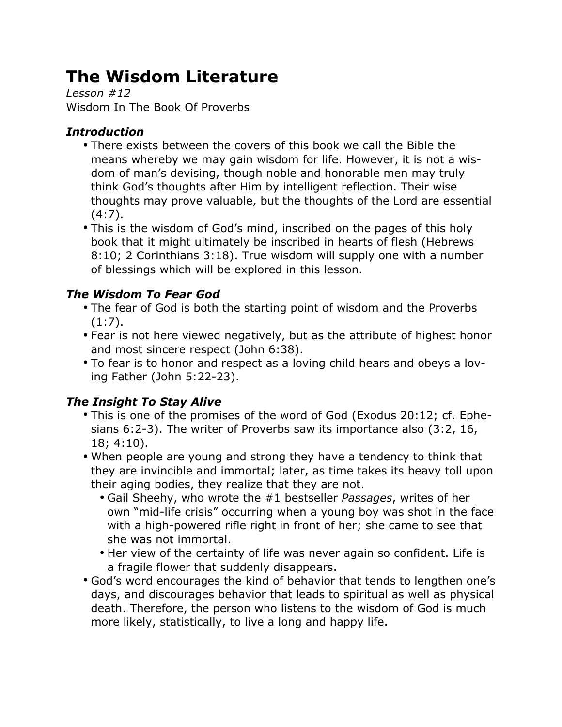# **The Wisdom Literature**

*Lesson #12* Wisdom In The Book Of Proverbs

## *Introduction*

- There exists between the covers of this book we call the Bible the means whereby we may gain wisdom for life. However, it is not a wisdom of man's devising, though noble and honorable men may truly think God's thoughts after Him by intelligent reflection. Their wise thoughts may prove valuable, but the thoughts of the Lord are essential  $(4:7)$ .
- This is the wisdom of God's mind, inscribed on the pages of this holy book that it might ultimately be inscribed in hearts of flesh (Hebrews 8:10; 2 Corinthians 3:18). True wisdom will supply one with a number of blessings which will be explored in this lesson.

## *The Wisdom To Fear God*

- The fear of God is both the starting point of wisdom and the Proverbs (1:7).
- Fear is not here viewed negatively, but as the attribute of highest honor and most sincere respect (John 6:38).
- To fear is to honor and respect as a loving child hears and obeys a loving Father (John 5:22-23).

# *The Insight To Stay Alive*

- This is one of the promises of the word of God (Exodus 20:12; cf. Ephesians 6:2-3). The writer of Proverbs saw its importance also (3:2, 16, 18; 4:10).
- When people are young and strong they have a tendency to think that they are invincible and immortal; later, as time takes its heavy toll upon their aging bodies, they realize that they are not.
	- Gail Sheehy, who wrote the #1 bestseller *Passages*, writes of her own "mid-life crisis" occurring when a young boy was shot in the face with a high-powered rifle right in front of her; she came to see that she was not immortal.
	- Her view of the certainty of life was never again so confident. Life is a fragile flower that suddenly disappears.
- God's word encourages the kind of behavior that tends to lengthen one's days, and discourages behavior that leads to spiritual as well as physical death. Therefore, the person who listens to the wisdom of God is much more likely, statistically, to live a long and happy life.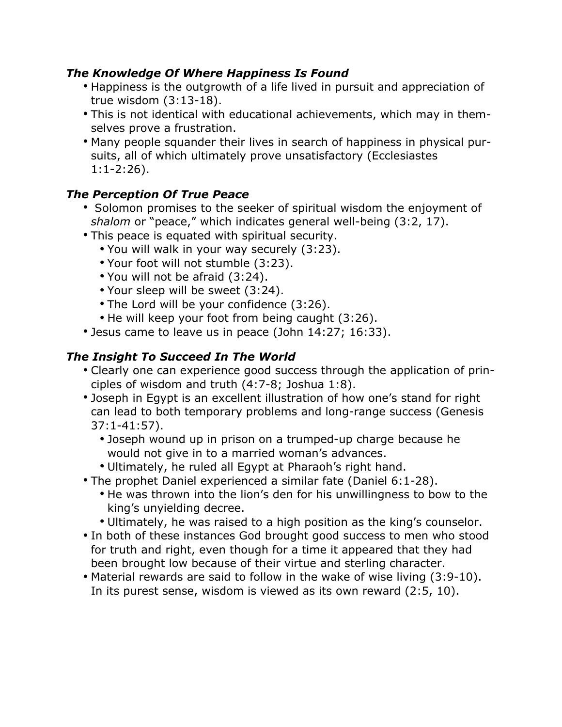#### *The Knowledge Of Where Happiness Is Found*

- Happiness is the outgrowth of a life lived in pursuit and appreciation of true wisdom (3:13-18).
- This is not identical with educational achievements, which may in themselves prove a frustration.
- Many people squander their lives in search of happiness in physical pursuits, all of which ultimately prove unsatisfactory (Ecclesiastes 1:1-2:26).

#### *The Perception Of True Peace*

- Solomon promises to the seeker of spiritual wisdom the enjoyment of *shalom* or "peace," which indicates general well-being (3:2, 17).
- This peace is equated with spiritual security.
	- You will walk in your way securely (3:23).
	- Your foot will not stumble (3:23).
	- You will not be afraid (3:24).
	- Your sleep will be sweet (3:24).
	- The Lord will be your confidence (3:26).
	- He will keep your foot from being caught (3:26).
- Jesus came to leave us in peace (John 14:27; 16:33).

## *The Insight To Succeed In The World*

- Clearly one can experience good success through the application of principles of wisdom and truth (4:7-8; Joshua 1:8).
- Joseph in Egypt is an excellent illustration of how one's stand for right can lead to both temporary problems and long-range success (Genesis 37:1-41:57).
	- Joseph wound up in prison on a trumped-up charge because he would not give in to a married woman's advances.
	- Ultimately, he ruled all Egypt at Pharaoh's right hand.
- The prophet Daniel experienced a similar fate (Daniel 6:1-28).
	- He was thrown into the lion's den for his unwillingness to bow to the king's unyielding decree.
	- Ultimately, he was raised to a high position as the king's counselor.
- In both of these instances God brought good success to men who stood for truth and right, even though for a time it appeared that they had been brought low because of their virtue and sterling character.
- Material rewards are said to follow in the wake of wise living (3:9-10). In its purest sense, wisdom is viewed as its own reward (2:5, 10).